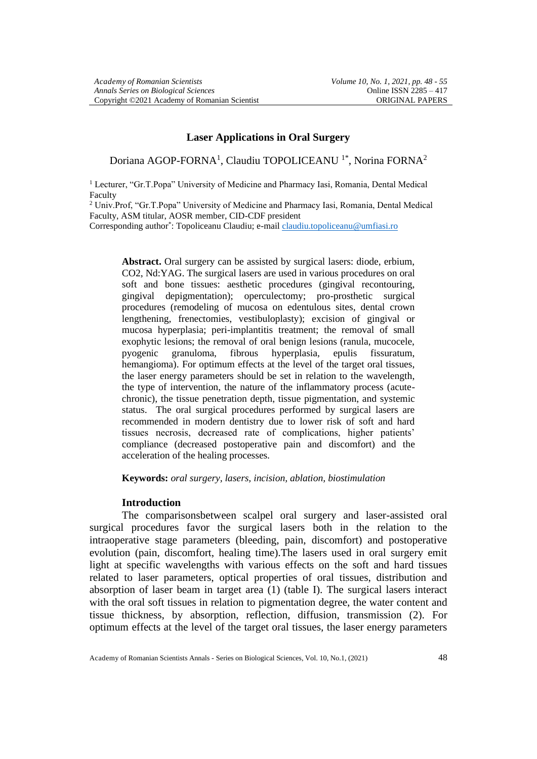## **Laser Applications in Oral Surgery**

Doriana AGOP-FORNA<sup>1</sup>, Claudiu TOPOLICEANU<sup>1\*</sup>, Norina FORNA<sup>2</sup>

<sup>1</sup> Lecturer, "Gr.T.Popa" University of Medicine and Pharmacy Iasi, Romania, Dental Medical Faculty

<sup>2</sup> Univ.Prof, "Gr.T.Popa" University of Medicine and Pharmacy Iasi, Romania, Dental Medical Faculty, ASM titular, AOSR member, CID-CDF president

Corresponding author<sup>\*</sup>: Topoliceanu Claudiu; e-mai[l claudiu.topoliceanu@umfiasi.ro](mailto:claudiu.topoliceanu@umfiasi.ro)

**Abstract.** Oral surgery can be assisted by surgical lasers: diode, erbium, CO2, Nd:YAG. The surgical lasers are used in various procedures on oral soft and bone tissues: aesthetic procedures (gingival recontouring, gingival depigmentation); operculectomy; pro-prosthetic surgical procedures (remodeling of mucosa on edentulous sites, dental crown lengthening, frenectomies, vestibuloplasty); excision of gingival or mucosa hyperplasia; peri-implantitis treatment; the removal of small exophytic lesions; the removal of oral benign lesions (ranula, mucocele, pyogenic granuloma, fibrous hyperplasia, epulis fissuratum, hemangioma). For optimum effects at the level of the target oral tissues, the laser energy parameters should be set in relation to the wavelength, the type of intervention, the nature of the inflammatory process (acutechronic), the tissue penetration depth, tissue pigmentation, and systemic status. The oral surgical procedures performed by surgical lasers are recommended in modern dentistry due to lower risk of soft and hard tissues necrosis, decreased rate of complications, higher patients' compliance (decreased postoperative pain and discomfort) and the acceleration of the healing processes.

**Keywords:** *oral surgery, lasers, incision, ablation, biostimulation*

## **Introduction**

The comparisonsbetween scalpel oral surgery and laser-assisted oral surgical procedures favor the surgical lasers both in the relation to the intraoperative stage parameters (bleeding, pain, discomfort) and postoperative evolution (pain, discomfort, healing time).The lasers used in oral surgery emit light at specific wavelengths with various effects on the soft and hard tissues related to laser parameters, optical properties of oral tissues, distribution and absorption of laser beam in target area (1) (table I). The surgical lasers interact with the oral soft tissues in relation to pigmentation degree, the water content and tissue thickness, by absorption, reflection, diffusion, transmission (2). For optimum effects at the level of the target oral tissues, the laser energy parameters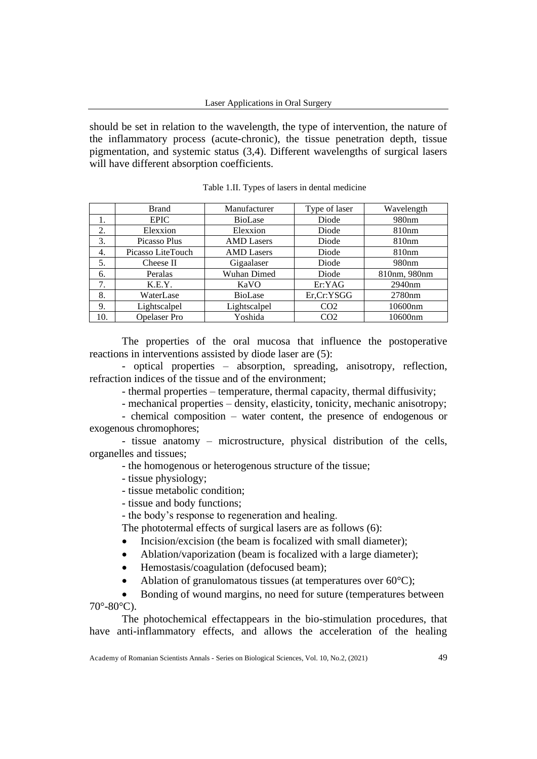should be set in relation to the wavelength, the type of intervention, the nature of the inflammatory process (acute-chronic), the tissue penetration depth, tissue pigmentation, and systemic status (3,4). Different wavelengths of surgical lasers will have different absorption coefficients.

|     | <b>Brand</b>        | Manufacturer      | Type of laser   | Wavelength        |
|-----|---------------------|-------------------|-----------------|-------------------|
|     | <b>EPIC</b>         | <b>BioLase</b>    | Diode           | 980 <sub>nm</sub> |
| 2.  | Elexxion            | Elexxion          | Diode           | 810nm             |
| 3.  | Picasso Plus        | <b>AMD</b> Lasers | Diode           | 810 <sub>nm</sub> |
| 4.  | Picasso LiteTouch   | <b>AMD</b> Lasers | Diode           | 810 <sub>nm</sub> |
| 5.  | Cheese II           | Gigaalaser        | Diode           | 980 <sub>nm</sub> |
| 6.  | Peralas             | Wuhan Dimed       | Diode           | 810nm, 980nm      |
| 7.  | K.E.Y.              | KaVO              | Er:YAG          | 2940nm            |
| 8.  | WaterLase           | <b>BioLase</b>    | Er, Cr: YSGG    | 2780nm            |
| 9.  | Lightscalpel        | Lightscalpel      | CO <sub>2</sub> | 10600nm           |
| 10. | <b>Opelaser</b> Pro | Yoshida           | CO <sub>2</sub> | 10600nm           |

Table 1.II. Types of lasers in dental medicine

The properties of the oral mucosa that influence the postoperative reactions in interventions assisted by diode laser are (5):

- optical properties – absorption, spreading, anisotropy, reflection, refraction indices of the tissue and of the environment;

- thermal properties – temperature, thermal capacity, thermal diffusivity;

- mechanical properties – density, elasticity, tonicity, mechanic anisotropy;

- chemical composition – water content, the presence of endogenous or exogenous chromophores;

- tissue anatomy – microstructure, physical distribution of the cells, organelles and tissues;

- the homogenous or heterogenous structure of the tissue;

- tissue physiology;
- tissue metabolic condition;
- tissue and body functions;

- the body's response to regeneration and healing.

The phototermal effects of surgical lasers are as follows (6):

- Incision/excision (the beam is focalized with small diameter);
- Ablation/vaporization (beam is focalized with a large diameter);
- Hemostasis/coagulation (defocused beam);
- Ablation of granulomatous tissues (at temperatures over  $60^{\circ}$ C);

• Bonding of wound margins, no need for suture (temperatures between 70°-80°C).

The photochemical effectappears in the bio-stimulation procedures, that have anti-inflammatory effects, and allows the acceleration of the healing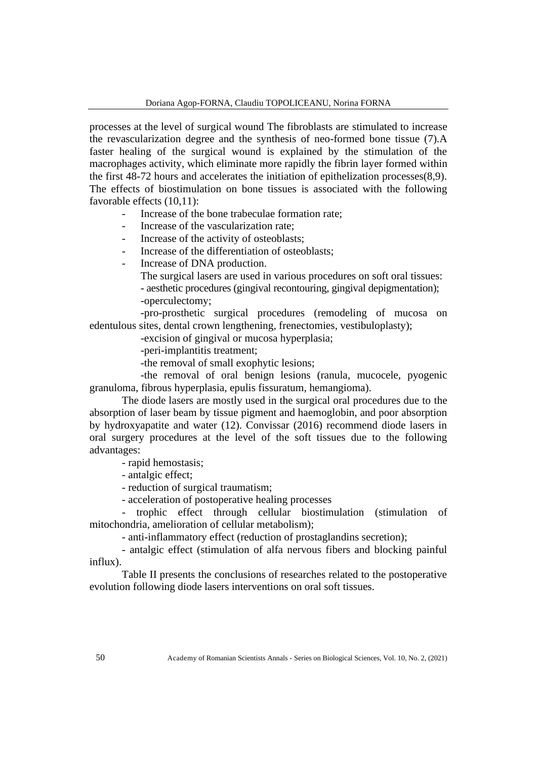processes at the level of surgical wound The fibroblasts are stimulated to increase the revascularization degree and the synthesis of neo-formed bone tissue (7).A faster healing of the surgical wound is explained by the stimulation of the macrophages activity, which eliminate more rapidly the fibrin layer formed within the first 48-72 hours and accelerates the initiation of epithelization processes(8,9). The effects of biostimulation on bone tissues is associated with the following favorable effects (10,11):

- Increase of the bone trabeculae formation rate:
- Increase of the vascularization rate;
- Increase of the activity of osteoblasts;
- Increase of the differentiation of osteoblasts;
- Increase of DNA production.
	- The surgical lasers are used in various procedures on soft oral tissues:
	- aesthetic procedures (gingival recontouring, gingival depigmentation); -operculectomy;

-pro-prosthetic surgical procedures (remodeling of mucosa on edentulous sites, dental crown lengthening, frenectomies, vestibuloplasty);

-excision of gingival or mucosa hyperplasia;

-peri-implantitis treatment;

-the removal of small exophytic lesions;

-the removal of oral benign lesions (ranula, mucocele, pyogenic granuloma, fibrous hyperplasia, epulis fissuratum, hemangioma).

The diode lasers are mostly used in the surgical oral procedures due to the absorption of laser beam by tissue pigment and haemoglobin, and poor absorption by hydroxyapatite and water (12). Convissar (2016) recommend diode lasers in oral surgery procedures at the level of the soft tissues due to the following advantages:

- rapid hemostasis;

- antalgic effect;
- reduction of surgical traumatism;
- acceleration of postoperative healing processes

- trophic effect through cellular biostimulation (stimulation of mitochondria, amelioration of cellular metabolism);

- anti-inflammatory effect (reduction of prostaglandins secretion);

- antalgic effect (stimulation of alfa nervous fibers and blocking painful influx).

Table II presents the conclusions of researches related to the postoperative evolution following diode lasers interventions on oral soft tissues.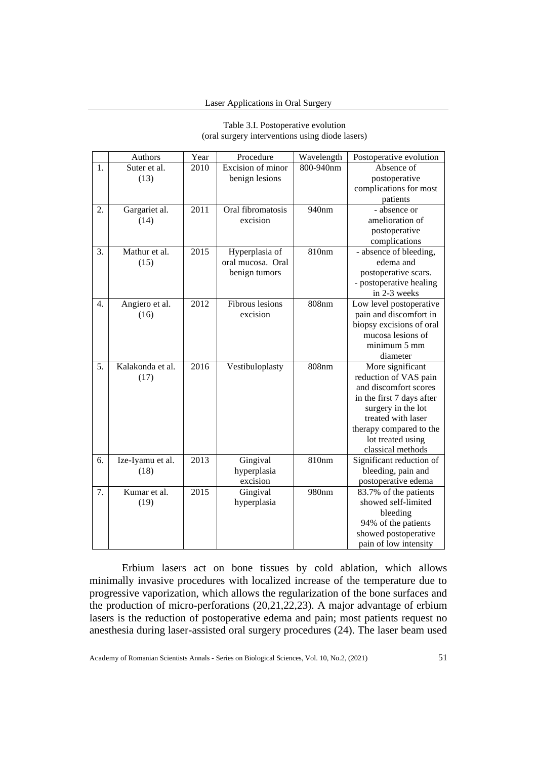| .<br>(oral surgery interventions using diode lasers) |      |                   |           |                                      |
|------------------------------------------------------|------|-------------------|-----------|--------------------------------------|
| <b>Authors</b>                                       | Year | Procedure         |           | Wavelength   Postoperative evolution |
| suter et al.                                         | 2010 | Excision of minor | 800-940nm | Absence of                           |
| (12)                                                 |      | honian locions    |           | nostonorativo                        |

Table 3.I. Postoperative evolution

| 1. | Suter et al.     | 2010 | Excision of minor | 800-940nm | Absence of                |
|----|------------------|------|-------------------|-----------|---------------------------|
|    | (13)             |      | benign lesions    |           | postoperative             |
|    |                  |      |                   |           | complications for most    |
|    |                  |      |                   |           | patients                  |
| 2. | Gargariet al.    | 2011 | Oral fibromatosis | 940nm     | - absence or              |
|    | (14)             |      | excision          |           | amelioration of           |
|    |                  |      |                   |           | postoperative             |
|    |                  |      |                   |           | complications             |
| 3. | Mathur et al.    | 2015 | Hyperplasia of    | 810nm     | - absence of bleeding,    |
|    | (15)             |      | oral mucosa. Oral |           | edema and                 |
|    |                  |      | benign tumors     |           | postoperative scars.      |
|    |                  |      |                   |           | - postoperative healing   |
|    |                  |      |                   |           | in 2-3 weeks              |
| 4. | Angiero et al.   | 2012 | Fibrous lesions   | 808nm     | Low level postoperative   |
|    | (16)             |      | excision          |           | pain and discomfort in    |
|    |                  |      |                   |           | biopsy excisions of oral  |
|    |                  |      |                   |           | mucosa lesions of         |
|    |                  |      |                   |           | minimum 5 mm              |
|    |                  |      |                   |           | diameter                  |
| 5. | Kalakonda et al. | 2016 | Vestibuloplasty   | 808nm     | More significant          |
|    | (17)             |      |                   |           | reduction of VAS pain     |
|    |                  |      |                   |           | and discomfort scores     |
|    |                  |      |                   |           | in the first 7 days after |
|    |                  |      |                   |           | surgery in the lot        |
|    |                  |      |                   |           | treated with laser        |
|    |                  |      |                   |           | therapy compared to the   |
|    |                  |      |                   |           | lot treated using         |
|    |                  |      |                   |           | classical methods         |
| 6. | Ize-Iyamu et al. | 2013 | Gingival          | 810nm     | Significant reduction of  |
|    | (18)             |      | hyperplasia       |           | bleeding, pain and        |
|    |                  |      | excision          |           | postoperative edema       |
| 7. | Kumar et al.     | 2015 | Gingival          | 980nm     | 83.7% of the patients     |
|    | (19)             |      | hyperplasia       |           | showed self-limited       |
|    |                  |      |                   |           | bleeding                  |
|    |                  |      |                   |           | 94% of the patients       |
|    |                  |      |                   |           | showed postoperative      |
|    |                  |      |                   |           | pain of low intensity     |

Erbium lasers act on bone tissues by cold ablation, which allows minimally invasive procedures with localized increase of the temperature due to progressive vaporization, which allows the regularization of the bone surfaces and the production of micro-perforations (20,21,22,23). A major advantage of erbium lasers is the reduction of postoperative edema and pain; most patients request no anesthesia during laser-assisted oral surgery procedures (24). The laser beam used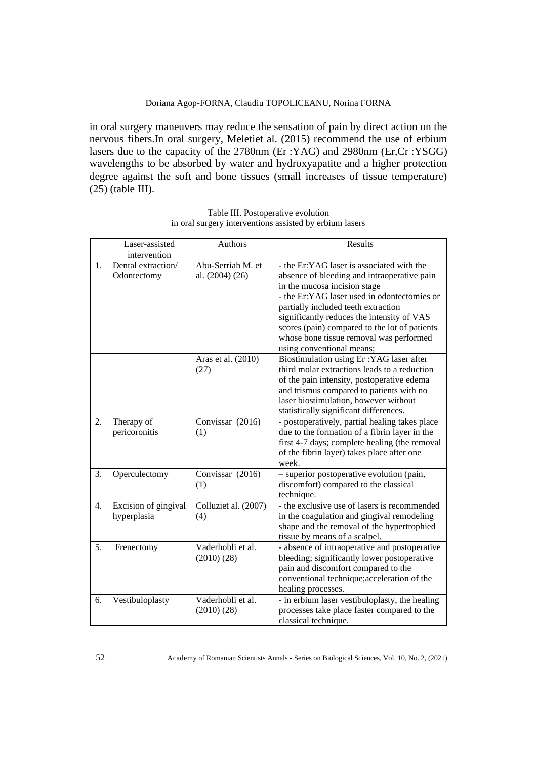in oral surgery maneuvers may reduce the sensation of pain by direct action on the nervous fibers.In oral surgery, Meletiet al. (2015) recommend the use of erbium lasers due to the capacity of the 2780nm (Er :YAG) and 2980nm (Er,Cr :YSGG) wavelengths to be absorbed by water and hydroxyapatite and a higher protection degree against the soft and bone tissues (small increases of tissue temperature) (25) (table III).

|    | Laser-assisted<br>intervention      | Authors                              | Results                                                                                                                                                                                                                                                                                                                                                                               |
|----|-------------------------------------|--------------------------------------|---------------------------------------------------------------------------------------------------------------------------------------------------------------------------------------------------------------------------------------------------------------------------------------------------------------------------------------------------------------------------------------|
| 1. | Dental extraction/<br>Odontectomy   | Abu-Serriah M. et<br>al. (2004) (26) | - the Er:YAG laser is associated with the<br>absence of bleeding and intraoperative pain<br>in the mucosa incision stage<br>- the Er:YAG laser used in odontectomies or<br>partially included teeth extraction<br>significantly reduces the intensity of VAS<br>scores (pain) compared to the lot of patients<br>whose bone tissue removal was performed<br>using conventional means; |
|    |                                     | Aras et al. (2010)<br>(27)           | Biostimulation using Er: YAG laser after<br>third molar extractions leads to a reduction<br>of the pain intensity, postoperative edema<br>and trismus compared to patients with no<br>laser biostimulation, however without<br>statistically significant differences.                                                                                                                 |
| 2. | Therapy of<br>pericoronitis         | Convissar (2016)<br>(1)              | - postoperatively, partial healing takes place<br>due to the formation of a fibrin layer in the<br>first 4-7 days; complete healing (the removal<br>of the fibrin layer) takes place after one<br>week.                                                                                                                                                                               |
| 3. | Operculectomy                       | Convissar (2016)<br>(1)              | - superior postoperative evolution (pain,<br>discomfort) compared to the classical<br>technique.                                                                                                                                                                                                                                                                                      |
| 4. | Excision of gingival<br>hyperplasia | Colluziet al. (2007)<br>(4)          | - the exclusive use of lasers is recommended<br>in the coagulation and gingival remodeling<br>shape and the removal of the hypertrophied<br>tissue by means of a scalpel.                                                                                                                                                                                                             |
| 5. | Frenectomy                          | Vaderhobli et al.<br>(2010)(28)      | - absence of intraoperative and postoperative<br>bleeding; significantly lower postoperative<br>pain and discomfort compared to the<br>conventional technique; acceleration of the<br>healing processes.                                                                                                                                                                              |
| 6. | Vestibuloplasty                     | Vaderhobli et al.<br>(2010)(28)      | - in erbium laser vestibuloplasty, the healing<br>processes take place faster compared to the<br>classical technique.                                                                                                                                                                                                                                                                 |

Table III. Postoperative evolution in oral surgery interventions assisted by erbium lasers

52 Academy of Romanian Scientists Annals - Series on Biological Sciences, Vol. 10, No. 2, (2021)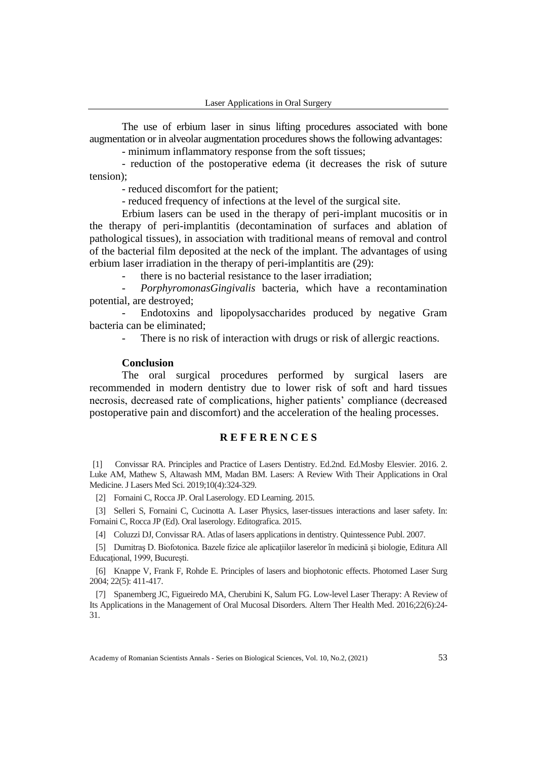The use of erbium laser in sinus lifting procedures associated with bone augmentation or in alveolar augmentation procedures shows the following advantages:

- minimum inflammatory response from the soft tissues;

- reduction of the postoperative edema (it decreases the risk of suture tension);

- reduced discomfort for the patient;

- reduced frequency of infections at the level of the surgical site.

Erbium lasers can be used in the therapy of peri-implant mucositis or in the therapy of peri-implantitis (decontamination of surfaces and ablation of pathological tissues), in association with traditional means of removal and control of the bacterial film deposited at the neck of the implant. The advantages of using erbium laser irradiation in the therapy of peri-implantitis are (29):

there is no bacterial resistance to the laser irradiation;

- *PorphyromonasGingivalis* bacteria, which have a recontamination potential, are destroyed;

Endotoxins and lipopolysaccharides produced by negative Gram bacteria can be eliminated;

There is no risk of interaction with drugs or risk of allergic reactions.

## **Conclusion**

The oral surgical procedures performed by surgical lasers are recommended in modern dentistry due to lower risk of soft and hard tissues necrosis, decreased rate of complications, higher patients' compliance (decreased postoperative pain and discomfort) and the acceleration of the healing processes.

## **R E F E R E N C E S**

[1] Convissar RA. Principles and Practice of Lasers Dentistry. Ed.2nd. Ed.Mosby Elesvier. 2016. 2. Luke AM, Mathew S, Altawash MM, Madan BM. Lasers: A Review With Their Applications in Oral Medicine. J Lasers Med Sci. 2019;10(4):324-329.

[2] Fornaini C, Rocca JP. Oral Laserology. ED Learning. 2015.

[3] Selleri S, Fornaini C, Cucinotta A. Laser Physics, laser-tissues interactions and laser safety. In: Fornaini C, Rocca JP (Ed). Oral laserology. Editografica. 2015.

[4] Coluzzi DJ, Convissar RA. Atlas of lasers applications in dentistry. Quintessence Publ. 2007.

[5] Dumitraş D. Biofotonica. Bazele fizice ale aplicaţiilor laserelor în medicină şi biologie, Editura All Educaţional, 1999, Bucureşti.

[6] Knappe V, Frank F, Rohde E. Principles of lasers and biophotonic effects. Photomed Laser Surg 2004; 22(5): 411-417.

[7] Spanemberg JC, Figueiredo MA, Cherubini K, Salum FG. Low-level Laser Therapy: A Review of Its Applications in the Management of Oral Mucosal Disorders. Altern Ther Health Med. 2016;22(6):24- 31.

Academy of Romanian Scientists Annals - Series on Biological Sciences, Vol. 10, No.2, (2021) 53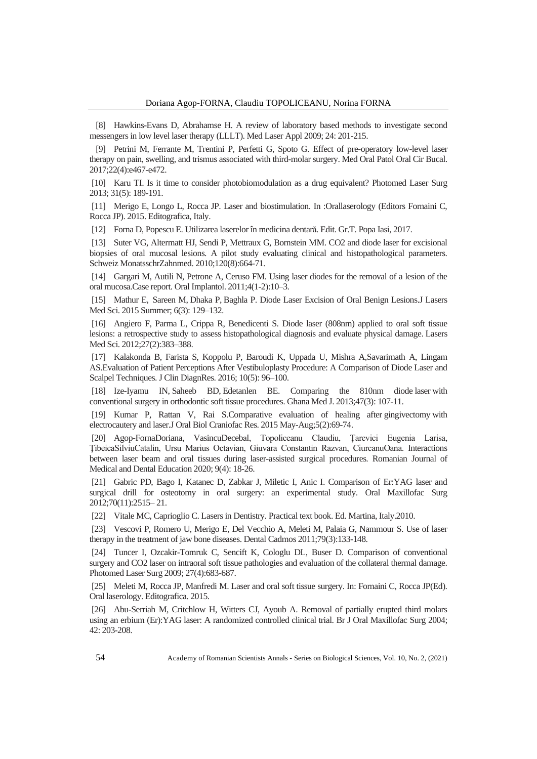[8] Hawkins-Evans D, Abrahamse H. A review of laboratory based methods to investigate second messengers in low level laser therapy (LLLT). Med Laser Appl 2009; 24: 201-215.

[9] Petrini M, Ferrante M, Trentini P, Perfetti G, Spoto G. Effect of pre-operatory low-level laser therapy on pain, swelling, and trismus associated with third-molar surgery. Med Oral Patol Oral Cir Bucal. 2017;22(4):e467-e472.

[10] Karu TI. Is it time to consider photobiomodulation as a drug equivalent? Photomed Laser Surg 2013; 31(5): 189-191.

[11] Merigo E, Longo L, Rocca JP. Laser and biostimulation. In :Orallaserology (Editors Fornaini C, Rocca JP). 2015. Editografica, Italy.

[12] Forna D, Popescu E. Utilizarea laserelor în medicina dentară. Edit. Gr.T. Popa Iasi, 2017.

[13] Suter VG, Altermatt HJ, Sendi P, Mettraux G, Bornstein MM. CO2 and diode laser for excisional biopsies of oral mucosal lesions. A pilot study evaluating clinical and histopathological parameters. Schweiz MonatsschrZahnmed. 2010;120(8):664-71.

[14] Gargari M, Autili N, Petrone A, Ceruso FM. Using laser diodes for the removal of a lesion of the oral mucosa.Case report. Oral Implantol. 2011;4(1-2):10–3.

[15] [Mathur](https://www.ncbi.nlm.nih.gov/pubmed/?term=Mathur%20E%5BAuthor%5D&cauthor=true&cauthor_uid=26464781) E, [Sareen](https://www.ncbi.nlm.nih.gov/pubmed/?term=Sareen%20M%5BAuthor%5D&cauthor=true&cauthor_uid=26464781) M, [Dhaka](https://www.ncbi.nlm.nih.gov/pubmed/?term=Dhaka%20P%5BAuthor%5D&cauthor=true&cauthor_uid=26464781) P, Baghla P. Diode Laser Excision of Oral Benign Lesion[s.J Lasers](https://www.ncbi.nlm.nih.gov/pmc/articles/PMC4599200/)  [Med Sci.](https://www.ncbi.nlm.nih.gov/pmc/articles/PMC4599200/) 2015 Summer; 6(3): 129–132.

[16] Angiero F, Parma L, Crippa R, Benedicenti S. Diode laser (808nm) applied to oral soft tissue lesions: a retrospective study to assess histopathological diagnosis and evaluate physical damage. Lasers Med Sci. 2012;27(2):383–388.

[17] Kalakonda B, Farista S, Koppolu P, Baroudi K, Uppada U, Mishra A,Savarimath A, Lingam AS.Evaluation of Patient Perceptions After Vestibuloplasty Procedure: A Comparison of Diode Laser and Scalpel Techniques. J Clin DiagnRes. 2016; 10(5): 96–100.

[18] [Ize-Iyamu IN,](https://www.ncbi.nlm.nih.gov/pubmed/?term=Ize-Iyamu%20IN%5BAuthor%5D&cauthor=true&cauthor_uid=24391225) [Saheeb BD,](https://www.ncbi.nlm.nih.gov/pubmed/?term=Saheeb%20BD%5BAuthor%5D&cauthor=true&cauthor_uid=24391225) [Edetanlen](https://www.ncbi.nlm.nih.gov/pubmed/?term=Edetanlen%20BE%5BAuthor%5D&cauthor=true&cauthor_uid=24391225) BE. Comparing the 810nm diode laser with conventional surgery in orthodontic soft tissue procedures[. Ghana Med J.](https://www.ncbi.nlm.nih.gov/pubmed/24391225) 2013;47(3): 107-11.

[19] Kumar P, Rattan V, Rai [S.Comparative evaluation of healing after](https://www.ncbi.nlm.nih.gov/pubmed/26258017) gingivectomy with [electrocautery and](https://www.ncbi.nlm.nih.gov/pubmed/26258017) laser.J Oral Biol Craniofac Res. 2015 May-Aug;5(2):69-74.

[20] Agop-FornaDoriana, VasincuDecebal, Topoliceanu Claudiu, Ţarevici Eugenia Larisa, ŢibeicaSilviuCatalin, Ursu Marius Octavian, Giuvara Constantin Razvan, CiurcanuOana. Interactions between laser beam and oral tissues during laser-assisted surgical procedures. Romanian Journal of Medical and Dental Education 2020; 9(4): 18-26.

[21] Gabric PD, Bago I, Katanec D, Zabkar J, Miletic I, Anic I. Comparison of Er:YAG laser and surgical drill for osteotomy in oral surgery: an experimental study. Oral Maxillofac Surg 2012;70(11):2515– 21.

[22] Vitale MC, Caprioglio C. Lasers in Dentistry. Practical text book. Ed. Martina, Italy.2010.

[23] Vescovi P, Romero U, Merigo E, Del Vecchio A, Meleti M, Palaia G, Nammour S. Use of laser therapy in the treatment of jaw bone diseases. Dental Cadmos 2011;79(3):133-148.

[24] Tuncer I, Ozcakir-Tomruk C, Sencift K, Cologlu DL, Buser D. Comparison of conventional surgery and CO2 laser on intraoral soft tissue pathologies and evaluation of the collateral thermal damage. Photomed Laser Surg 2009; 27(4):683-687.

[25] Meleti M, Rocca JP, Manfredi M. Laser and oral soft tissue surgery. In: Fornaini C, Rocca JP(Ed). Oral laserology. Editografica. 2015.

[26] Abu-Serriah M, Critchlow H, Witters CJ, Ayoub A. Removal of partially erupted third molars using an erbium (Er):YAG laser: A randomized controlled clinical trial. Br J Oral Maxillofac Surg 2004; 42: 203-208.

54 Academy of Romanian Scientists Annals - Series on Biological Sciences, Vol. 10, No. 2, (2021)